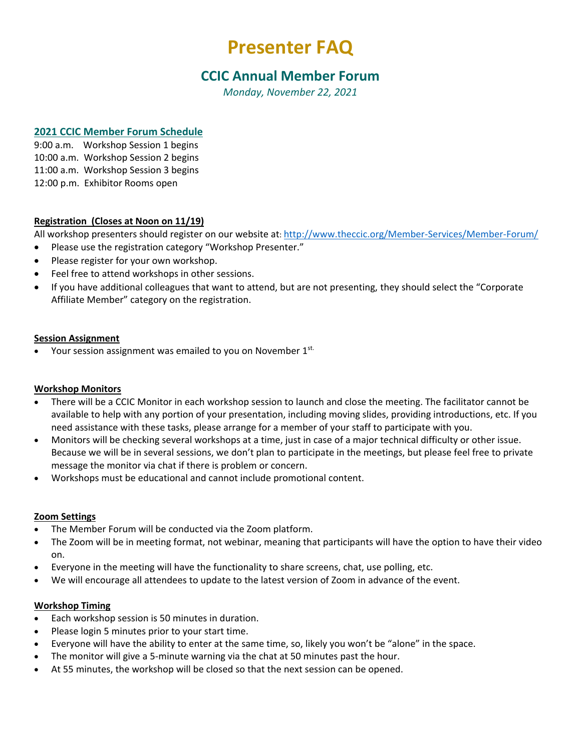# **Presenter FAQ**

# **CCIC Annual Member Forum**

*Monday, November 22, 2021*

## **2021 CCIC Member Forum Schedule**

9:00 a.m. Workshop Session 1 begins 10:00 a.m. Workshop Session 2 begins 11:00 a.m. Workshop Session 3 begins 12:00 p.m. Exhibitor Rooms open

### **Registration (Closes at Noon on 11/19)**

All workshop presenters should register on our website at: <http://www.theccic.org/Member-Services/Member-Forum/>

- Please use the registration category "Workshop Presenter."
- Please register for your own workshop.
- Feel free to attend workshops in other sessions.
- If you have additional colleagues that want to attend, but are not presenting, they should select the "Corporate Affiliate Member" category on the registration.

#### **Session Assignment**

• Your session assignment was emailed to you on November 1st.

#### **Workshop Monitors**

- There will be a CCIC Monitor in each workshop session to launch and close the meeting. The facilitator cannot be available to help with any portion of your presentation, including moving slides, providing introductions, etc. If you need assistance with these tasks, please arrange for a member of your staff to participate with you.
- Monitors will be checking several workshops at a time, just in case of a major technical difficulty or other issue. Because we will be in several sessions, we don't plan to participate in the meetings, but please feel free to private message the monitor via chat if there is problem or concern.
- Workshops must be educational and cannot include promotional content.

#### **Zoom Settings**

- The Member Forum will be conducted via the Zoom platform.
- The Zoom will be in meeting format, not webinar, meaning that participants will have the option to have their video on.
- Everyone in the meeting will have the functionality to share screens, chat, use polling, etc.
- We will encourage all attendees to update to the latest version of Zoom in advance of the event.

#### **Workshop Timing**

- Each workshop session is 50 minutes in duration.
- Please login 5 minutes prior to your start time.
- Everyone will have the ability to enter at the same time, so, likely you won't be "alone" in the space.
- The monitor will give a 5-minute warning via the chat at 50 minutes past the hour.
- At 55 minutes, the workshop will be closed so that the next session can be opened.